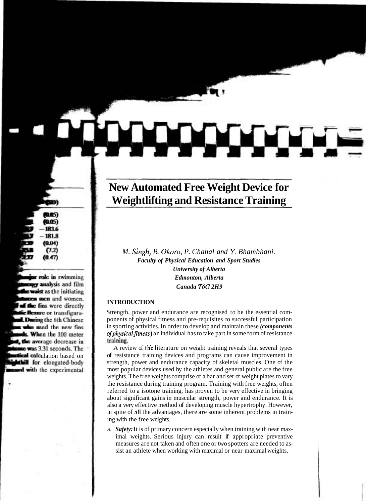# **New Automated Free Weight Device for Weightlifting and Resistance Training**

*M. Singh, B. Okoro, P. Chahal and Y. Bhambhani. Faculty of Physical Education and Sport Studies University of Alberta Edmonton, Alberta Canada T6G 2H9* 

#### **INTRODUCTION**

Strength, power and endurance are recognised to be the essential components of physical fitness and pre-requisites to successful participation in sporting activities. In order to develop and maintain these *(components of physical fitness*) an individual has to take part in some form of resistance training.

A review of the literature on weight training reveals that several types of resistance training devices and programs can cause improvement in strength, power and endurance capacity of skeletal muscles. One of the most popular devices used by the athletes and general public are the free weights. The free weights comprise of a bar and set of weight plates to vary the resistance during training program. Training with free weights, often referred to a isotone training, has proven to be very effective in bringing about significant gains in muscular strength, power and endurance. It is also a very effective method of developing muscle hypertrophy. However, in spite of **all** the advantages, there are some inherent problems in training with the free weights.

a. *Safety:* It is of primary concern especially when training with near maximal weights. Serious injury can result if appropriate preventive measures are not taken and often one or two spotters are needed to assist an athlete when working with maximal or near maximal weights.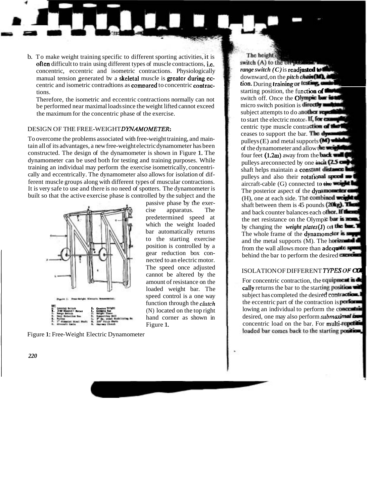b. To make weight training specific to different sporting activities, it is often difficult to train using different types of muscle contractions, i.e. concentric, eccentric and isometric contractions. Physiologically manual tension generated by a skeletal muscle is greater during eccentric and isometric contradtions as **compared** to concentric **contrac-** tions. tions.<br>Therefore, the isometric and eccentric contractions normally can not

be performed near maximal loads since the weight lifted cannot exceed the maximum for the concentric phase of the exercise.

### DESIGN OF THE FREE-WEIGHTDYNAMOMETER:

To overcome the problems associated with free-weight training, and maintain all of its advantages, a new free-weight electric dynamometer has been constructed. The design of the dynamometer is shown in Figure 1. The dynamometer can be used both for testing and training purposes. While training an individual may perform the exercise isometrically, concentrically and eccentrically. The dynamometer also allows for isolation of different muscle groups along with different types of muscular contractions. It is very safe to use and there is no need of spotters. The dynamometer is built so that the active exercise phase is controlled by the subject and the



passive phase by the exercise apparatus. The predetermined speed at which the weight loaded bar automatically returns to the starting exercise position is controlled by a gear reduction box connected to an electric motor. The speed once adjusted cannot be altered by the amount of resistance on the loaded weight bar. The speed control is a one way function through the *clutch*  (N) located on the top right hand corner as shown in Figure 1.

Figure 1: Free-Weight Electric Dynamometer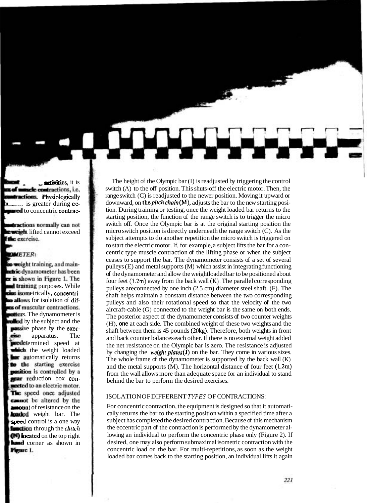The height of the Olympic bar (I) is readjusted by triggering the control switch (A) to the off position. This shuts-off the electric motor. Then, the range switch (C) is readjusted to the newer position. Moving it upward or downward, on the *pitch chain* $(M)$ , adjusts the bar to the new starting position. During training or testing, once the weight loaded bar returns to the starting position, the function of the range switch is to trigger the micro switch off. Once the Olympic bar is at the original starting position the micro switch position is directly underneath the range switch (C). As the subject attempts to do another repetition the micro switch is triggered on to start the electric motor. If, for example, a subject lifts the bar for a concentric type muscle contraction of the lifting phase or when the subject ceases to support the bar. The dynamometer consists of a set of several pulleys  $(E)$  and metal supports  $(M)$  which assist in integrating functioning of the dynamometer and allow the weightloaded bar to be positioned about four feet **(1.2m)** away from the back wall **(IS).** The parallel corresponding pulleys areconnected by one inch (2.5 cm) diameter steel shaft. (F). The shaft helps maintain a constant distance between the two corresponding pulleys and also their rotational speed so that the velocity of the two aircraft-cable (G) connected to the weight bar is the same on both ends. The posterior aspect of the dynamometer consists of two counter weights (H), **one** at each side. The combined weight of these two weights and the shaft between them is 45 pounds (20kg). Therefore, both weights in front and back counter balances each other. If there is no external weight added the net resistance on the Olympic bar is zero. The resistance is adjusted by changing the weight plates( $\hat{J}$ ) on the bar. They come in various sizes. The whole frame of the dynamometer is supported by the back wall (K) and the metal supports (M). The horizontal distance of four feet (1.2m) from the wall allows more than adequate space for an individual to stand behind the bar to perform the desired exercises.

#### ISOLATION OF DIFFERENT *TYPES* OF CONTRACTIONS:

For concentric contraction, the equipment is designed so that it automatically returns the bar to the starting position within a specified time after a subject has completed the desired contraction. Because of this mechanism the eccentric part of the contraction is performed by the dynamometer allowing an individual to perform the concentric phase only (Figure 2). If desired, one may also perform submaximal isometric contraction with the concentric load on the bar. For multi-repetitions, as soon as the weight loaded bar comes back to the starting position, an individual lifts it again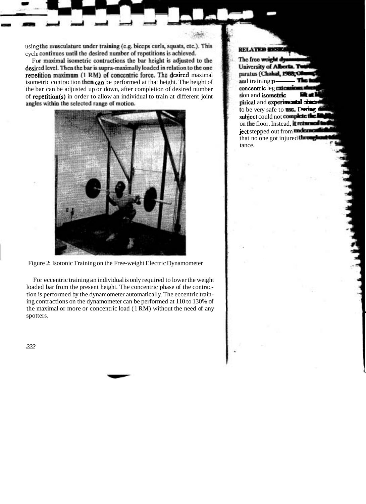using the musculature under training (e.g. biceps curls, squats, etc.). This cycle continues until the desired number of repetitions is achieved.

For maximal isometric contractions the bar height is adjusted to the desired level. Then the bar is supra-maximally loaded in relation to the one repetition maximum (1 RM) of concentric force. The desired maximal isometric contraction then can be performed at that height. The height of using the musculature under training (e.g. biceps curls, squats, etc.). This<br>cycle continues until the desired number of repetitions is achieved.<br>For maximal isometric contractions the bar height is adjusted to the<br>desired the bar can be adjusted up or down, after completion of desired number of repetition(s) in order to allow an individual to train at different joint angles within the selected range of motion.



Figure 2: Isotonic Training on the Free-weight Electric Dynamometer

For eccentric training an individual is only required to lower the weight loaded bar from the present height. The concentric phase of the contraction is performed by the dynamometer automatically. The eccentric training contractions on the dynamometer can be performed at 110 to 130% of the maximal or more or concentric load (1 RM) without the need of any spotters.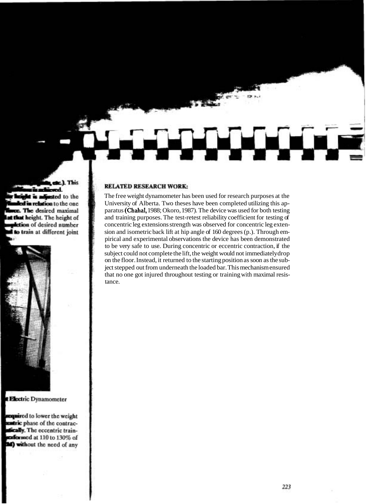#### **RELATED RESEARCH WORK:**

The free weight dynamometer has been used for research purposes at the University of Alberta. Two theses have been completed utilizing this apparatus (Chahal, 1988; Okoro, 1987). The device was used for both testing and training purposes. The test-retest reliability coefficient for testing of concentric leg extensions strength was observed for concentric leg extension and isometric back lift at hip angle of 160 degrees (p.). Through empirical and experimental observations the device has been demonstrated to be very safe to use. During concentric or eccentric contraction, if the subject could not complete the lift, the weight would not immediately drop on the floor. Instead, it returned to the starting position as soon as the subject stepped out from underneath the loaded bar. This mechanism ensured that no one got injured throughout testing or training with maximal resistance.